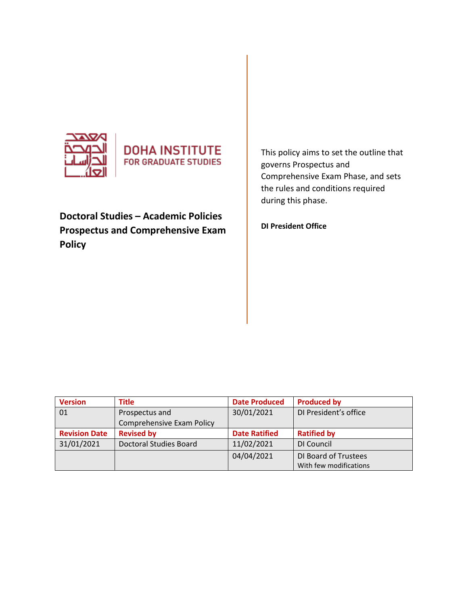

# **DOHA INSTITUTE FOR GRADUATE STUDIES**

**Doctoral Studies – Academic Policies Prospectus and Comprehensive Exam Policy** 

This policy aims to set the outline that governs Prospectus and Comprehensive Exam Phase, and sets the rules and conditions required during this phase.

**DI President Office** 

| <b>Version</b>       | <b>Title</b>              | <b>Date Produced</b> | <b>Produced by</b>     |
|----------------------|---------------------------|----------------------|------------------------|
| 01                   | Prospectus and            | 30/01/2021           | DI President's office  |
|                      | Comprehensive Exam Policy |                      |                        |
| <b>Revision Date</b> | <b>Revised by</b>         | <b>Date Ratified</b> | <b>Ratified by</b>     |
| 31/01/2021           | Doctoral Studies Board    | 11/02/2021           | DI Council             |
|                      |                           | 04/04/2021           | DI Board of Trustees   |
|                      |                           |                      | With few modifications |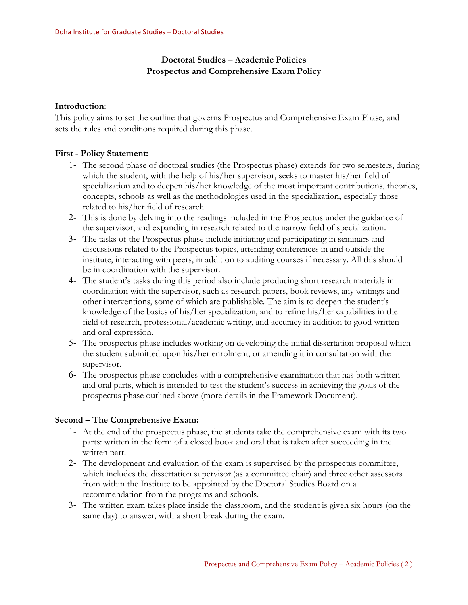# **Doctoral Studies – Academic Policies Prospectus and Comprehensive Exam Policy**

#### **Introduction**:

This policy aims to set the outline that governs Prospectus and Comprehensive Exam Phase, and sets the rules and conditions required during this phase.

### **First - Policy Statement:**

- 1- The second phase of doctoral studies (the Prospectus phase) extends for two semesters, during which the student, with the help of his/her supervisor, seeks to master his/her field of specialization and to deepen his/her knowledge of the most important contributions, theories, concepts, schools as well as the methodologies used in the specialization, especially those related to his/her field of research.
- 2- This is done by delving into the readings included in the Prospectus under the guidance of the supervisor, and expanding in research related to the narrow field of specialization.
- 3- The tasks of the Prospectus phase include initiating and participating in seminars and discussions related to the Prospectus topics, attending conferences in and outside the institute, interacting with peers, in addition to auditing courses if necessary. All this should be in coordination with the supervisor.
- 4- The student's tasks during this period also include producing short research materials in coordination with the supervisor, such as research papers, book reviews, any writings and other interventions, some of which are publishable. The aim is to deepen the student's knowledge of the basics of his/her specialization, and to refine his/her capabilities in the field of research, professional/academic writing, and accuracy in addition to good written and oral expression.
- 5- The prospectus phase includes working on developing the initial dissertation proposal which the student submitted upon his/her enrolment, or amending it in consultation with the supervisor.
- 6- The prospectus phase concludes with a comprehensive examination that has both written and oral parts, which is intended to test the student's success in achieving the goals of the prospectus phase outlined above (more details in the Framework Document).

## **Second – The Comprehensive Exam:**

- 1- At the end of the prospectus phase, the students take the comprehensive exam with its two parts: written in the form of a closed book and oral that is taken after succeeding in the written part.
- 2- The development and evaluation of the exam is supervised by the prospectus committee, which includes the dissertation supervisor (as a committee chair) and three other assessors from within the Institute to be appointed by the Doctoral Studies Board on a recommendation from the programs and schools.
- 3- The written exam takes place inside the classroom, and the student is given six hours (on the same day) to answer, with a short break during the exam.